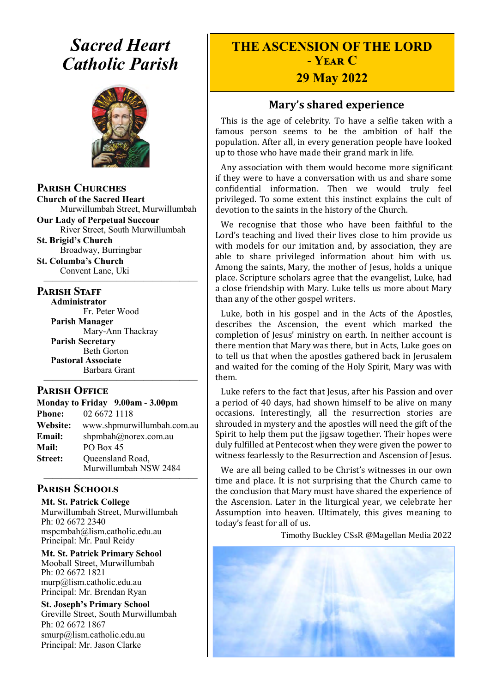# *Sacred Heart Catholic Parish*



**Parish Churches**

**Church of the Sacred Heart** Murwillumbah Street, Murwillumbah

**Our Lady of Perpetual Succour** River Street, South Murwillumbah

**St. Brigid's Church** Broadway, Burringbar **St. Columba's Church**

Convent Lane, Uki —————————————————

#### **PARISH STAFF**

**Administrator** Fr. Peter Wood **Parish Manager** Mary-Ann Thackray **Parish Secretary** Beth Gorton **Pastoral Associate** Barbara Grant

#### **Parish Office**

| Monday to Friday 9.00am - 3.00pm |                            |
|----------------------------------|----------------------------|
| <b>Phone:</b>                    | 02 6672 1118               |
| <b>Website:</b>                  | www.shpmurwillumbah.com.au |
| Email:                           | shpmbah@norex.com.au       |
| <b>Mail:</b>                     | PO Box 45                  |
| <b>Street:</b>                   | Queensland Road,           |
|                                  | Murwillumbah NSW 2484      |

—————————————————

#### ————————————————— **Parish Schools**

**Mt. St. Patrick College** Murwillumbah Street, Murwillumbah Ph: 02 6672 2340 mspcmbah@lism.catholic.edu.au Principal: Mr. Paul Reidy

**Mt. St. Patrick Primary School** Mooball Street, Murwillumbah Ph: 02 6672 1821 murp@lism.catholic.edu.au Principal: Mr. Brendan Ryan

**St. Joseph's Primary School** Greville Street, South Murwillumbah Ph: 02 6672 1867 smurp@lism.catholic.edu.au Principal: Mr. Jason Clarke

# **THE ASCENSION OF THE LORD - Year C**

# **29 May 2022**

## **Mary's shared experience**

This is the age of celebrity. To have a selfie taken with a famous person seems to be the ambition of half the population. After all, in every generation people have looked up to those who have made their grand mark in life.

Any association with them would become more significant if they were to have a conversation with us and share some confidential information. Then we would truly feel privileged. To some extent this instinct explains the cult of devotion to the saints in the history of the Church.

We recognise that those who have been faithful to the Lord's teaching and lived their lives close to him provide us with models for our imitation and, by association, they are able to share privileged information about him with us. Among the saints, Mary, the mother of Jesus, holds a unique place. Scripture scholars agree that the evangelist, Luke, had a close friendship with Mary. Luke tells us more about Mary than any of the other gospel writers.

Luke, both in his gospel and in the Acts of the Apostles, describes the Ascension, the event which marked the completion of Jesus' ministry on earth. In neither account is there mention that Mary was there, but in Acts, Luke goes on to tell us that when the apostles gathered back in Jerusalem and waited for the coming of the Holy Spirit, Mary was with them.

Luke refers to the fact that Jesus, after his Passion and over a period of 40 days, had shown himself to be alive on many occasions. Interestingly, all the resurrection stories are shrouded in mystery and the apostles will need the gift of the Spirit to help them put the jigsaw together. Their hopes were duly fulfilled at Pentecost when they were given the power to witness fearlessly to the Resurrection and Ascension of Jesus.

We are all being called to be Christ's witnesses in our own time and place. It is not surprising that the Church came to the conclusion that Mary must have shared the experience of the Ascension. Later in the liturgical year, we celebrate her Assumption into heaven. Ultimately, this gives meaning to today's feast for all of us.

Timothy Buckley CSsR @Magellan Media 2022

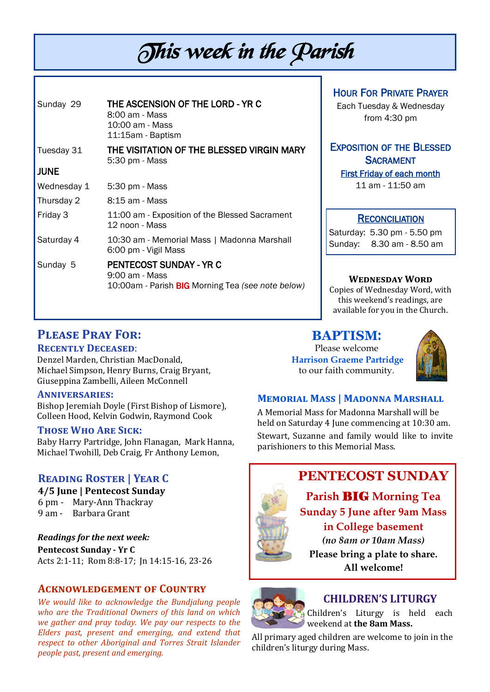# This week in the Parish

| Sunday 29   | THE ASCENSION OF THE LORD - YR C<br>8:00 am - Mass<br>10:00 am - Mass<br>11:15am - Baptism     |
|-------------|------------------------------------------------------------------------------------------------|
| Tuesday 31  | THE VISITATION OF THE BLESSED VIRGIN MARY<br>5:30 pm - Mass                                    |
| <b>JUNE</b> |                                                                                                |
| Wednesday 1 | 5:30 pm - Mass                                                                                 |
| Thursday 2  | 8:15 am - Mass                                                                                 |
| Friday 3    | 11:00 am - Exposition of the Blessed Sacrament<br>12 noon - Mass                               |
| Saturday 4  | 10:30 am - Memorial Mass   Madonna Marshall<br>6:00 pm - Vigil Mass                            |
| Sunday 5    | PENTECOST SUNDAY - YR C<br>9:00 am - Mass<br>10:00am - Parish BIG Morning Tea (see note below) |

#### HOUR FOR PRIVATE PRAYER

Each Tuesday & Wednesday from 4:30 pm

#### EXPOSITION OF THE BLESSED **SACRAMENT** First Friday of each month

11 am - 11:50 am

#### **RECONCILIATION**

Saturday: 5.30 pm - 5.50 pm Sunday: 8.30 am - 8.50 am

#### **Wednesday Word**

Copies of Wednesday Word, with this weekend's readings, are available for you in the Church.

# **Please Pray For:**

#### **Recently Deceased**:

Denzel Marden, Christian MacDonald, Michael Simpson, Henry Burns, Craig Bryant, Giuseppina Zambelli, Aileen McConnell

#### **Anniversaries:**

Bishop Jeremiah Doyle (First Bishop of Lismore), Colleen Hood, Kelvin Godwin, Raymond Cook

#### **Those Who Are Sick:**

Baby Harry Partridge, John Flanagan, Mark Hanna, Michael Twohill, Deb Craig, Fr Anthony Lemon,

### **Reading Roster | Year C**

## **4/5 June | Pentecost Sunday**  6 pm - Mary-Ann Thackray

9 am - Barbara Grant

*Readings for the next week:*  **Pentecost Sunday - Yr C**  Acts 2:1-11; Rom 8:8-17; Jn 14:15-16, 23-26

#### **Acknowledgement of Country**

*We would like to acknowledge the Bundjalung people who are the Traditional Owners of this land on which we gather and pray today. We pay our respects to the Elders past, present and emerging, and extend that respect to other Aboriginal and Torres Strait Islander people past, present and emerging.* 

# **BAPTISM**:

Please welcome **Harrison Graeme Partridge** to our faith community.



#### **Memorial Mass | Madonna Marshall**

A Memorial Mass for Madonna Marshall will be held on Saturday 4 June commencing at 10:30 am. Stewart, Suzanne and family would like to invite parishioners to this Memorial Mass.

# **PENTECOST SUNDAY**

**Parish** BIG **Morning Tea Sunday 5 June after 9am Mass in College basement** *(no 8am or 10am Mass)*

**Please bring a plate to share. All welcome!**



# **CHILDREN'S LITURGY**

Children's Liturgy is held each weekend at **the 8am Mass.** 

All primary aged children are welcome to join in the children's liturgy during Mass.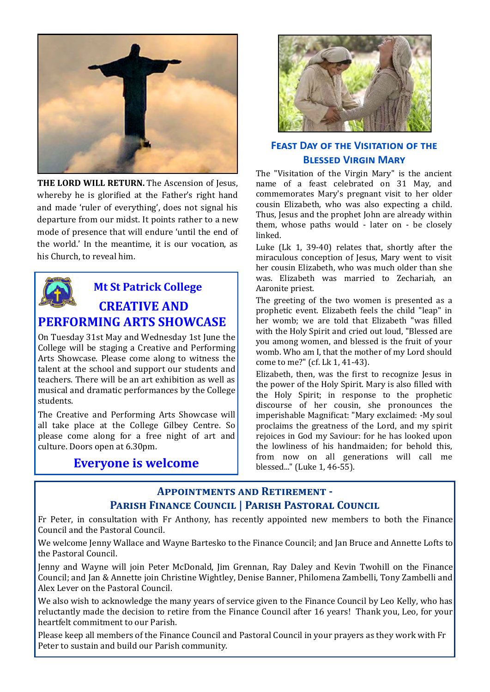

THE LORD WILL RETURN. The Ascension of Jesus, whereby he is glorified at the Father's right hand and made 'ruler of everything', does not signal his departure from our midst. It points rather to a new mode of presence that will endure 'until the end of the world.' In the meantime, it is our vocation, as his Church, to reveal him.



# **Mt St Patrick College CREATIVE AND PERFORMING ARTS SHOWCASE**

On Tuesday 31st May and Wednesday 1st June the College will be staging a Creative and Performing Arts Showcase. Please come along to witness the talent at the school and support our students and teachers. There will be an art exhibition as well as musical and dramatic performances by the College students.

The Creative and Performing Arts Showcase will all take place at the College Gilbey Centre. So please come along for a free night of art and culture. Doors open at 6.30pm.

# **Everyone is welcome**



#### **FEAST DAY OF THE VISITATION OF THE Blessed Virgin Mary**

The "Visitation of the Virgin Mary" is the ancient name of a feast celebrated on 31 May, and commemorates Mary's pregnant visit to her older cousin Elizabeth, who was also expecting a child. Thus, Jesus and the prophet John are already within them, whose paths would - later on - be closely linked.

Luke (Lk 1, 39-40) relates that, shortly after the miraculous conception of Jesus, Mary went to visit her cousin Elizabeth, who was much older than she was. Elizabeth was married to Zechariah, an Aaronite priest.

The greeting of the two women is presented as a prophetic event. Elizabeth feels the child "leap" in her womb; we are told that Elizabeth "was filled with the Holy Spirit and cried out loud, "Blessed are you among women, and blessed is the fruit of your womb. Who am I, that the mother of my Lord should come to me?" (cf. Lk 1, 41-43).

Elizabeth, then, was the first to recognize Jesus in the power of the Holy Spirit. Mary is also filled with the Holy Spirit; in response to the prophetic discourse of her cousin, she pronounces the imperishable Magnificat: "Mary exclaimed: -My soul proclaims the greatness of the Lord, and my spirit rejoices in God my Saviour: for he has looked upon the lowliness of his handmaiden; for behold this, from now on all generations will call me blessed..." (Luke 1, 46-55).

### **Appointments and Retirement - Parish Finance Council | Parish Pastoral Council**

Fr Peter, in consultation with Fr Anthony, has recently appointed new members to both the Finance Council and the Pastoral Council.

We welcome Jenny Wallace and Wayne Bartesko to the Finance Council; and Jan Bruce and Annette Lofts to the Pastoral Council.

Jenny and Wayne will join Peter McDonald, Jim Grennan, Ray Daley and Kevin Twohill on the Finance Council; and Jan & Annette join Christine Wightley, Denise Banner, Philomena Zambelli, Tony Zambelli and Alex Lever on the Pastoral Council.

We also wish to acknowledge the many years of service given to the Finance Council by Leo Kelly, who has reluctantly made the decision to retire from the Finance Council after 16 years! Thank you, Leo, for your heartfelt commitment to our Parish.

Please keep all members of the Finance Council and Pastoral Council in your prayers as they work with Fr Peter to sustain and build our Parish community.